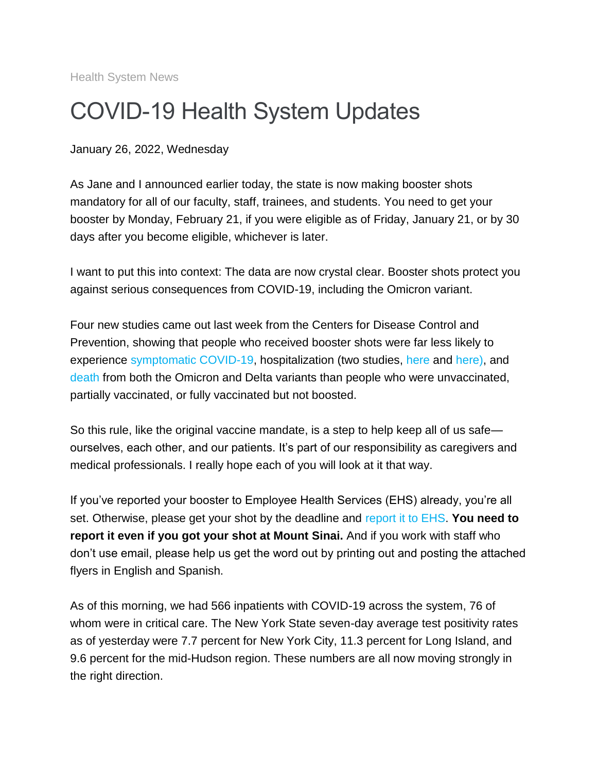Health System News

## COVID-19 Health System Updates

January 26, 2022, Wednesday

As Jane and I announced earlier today, the state is now making booster shots mandatory for all of our faculty, staff, trainees, and students. You need to get your booster by Monday, February 21, if you were eligible as of Friday, January 21, or by 30 days after you become eligible, whichever is later.

I want to put this into context: The data are now crystal clear. Booster shots protect you against serious consequences from COVID-19, including the Omicron variant.

Four new studies came out last week from the Centers for Disease Control and Prevention, showing that people who received booster shots were far less likely to experience [symptomatic COVID-19,](https://s2.bl-1.com/h/dpjPJv0l?url=https://jamanetwork.com/journals/jama/fullarticle/2788485) hospitalization (two studies, [here](https://s2.bl-1.com/h/dpjPJzPn?url=https://www.cdc.gov/mmwr/volumes/71/wr/mm7104e3.htm?s_cid=mm7104e3_w) and [here\)](https://s2.bl-1.com/h/dpjPJ4op?url=https://covid.cdc.gov/covid-data-tracker/#covidnet-hospitalizations-vaccination), and [death](https://s2.bl-1.com/h/dpjPJ8Br?url=https://www.cdc.gov/mmwr/volumes/71/wr/mm7104e2.htm?s_cid=mm7104e2_w) from both the Omicron and Delta variants than people who were unvaccinated, partially vaccinated, or fully vaccinated but not boosted.

So this rule, like the original vaccine mandate, is a step to help keep all of us safe ourselves, each other, and our patients. It's part of our responsibility as caregivers and medical professionals. I really hope each of you will look at it that way.

If you've reported your booster to Employee Health Services (EHS) already, you're all set. Otherwise, please get your shot by the deadline and [report it to EHS.](https://s2.bl-1.com/h/dpjPJFbt?url=https://redcap.mountsinai.org/redcap/surveys/index.php?s=47JY9K9MFA&_ga=2.21835506.870322188.1643030060-1113505503.1642793535) **You need to report it even if you got your shot at Mount Sinai.** And if you work with staff who don't use email, please help us get the word out by printing out and posting the attached flyers in English and Spanish.

As of this morning, we had 566 inpatients with COVID-19 across the system, 76 of whom were in critical care. The New York State seven-day average test positivity rates as of yesterday were 7.7 percent for New York City, 11.3 percent for Long Island, and 9.6 percent for the mid-Hudson region. These numbers are all now moving strongly in the right direction.